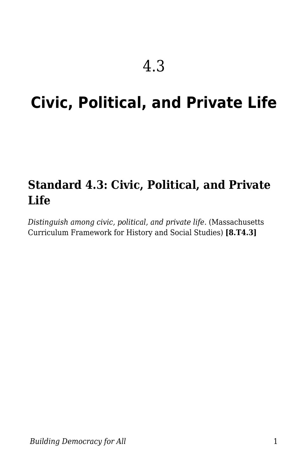# **Civic, Political, and Private Life**

### **Standard 4.3: Civic, Political, and Private Life**

*Distinguish among civic, political, and private life.* (Massachusetts Curriculum Framework for History and Social Studies) **[8.T4.3]**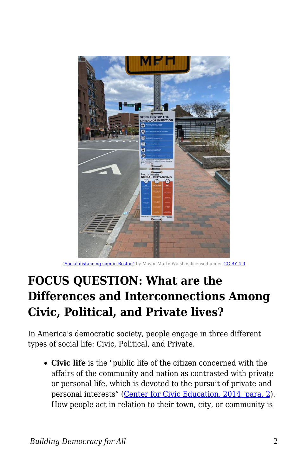

["Social distancing sign in Boston"](https://upload.wikimedia.org/wikipedia/commons/6/6d/Social_distancing_sign_in_Boston.jpg) by Mayor Marty Walsh is licensed under [CC BY 4.0](https://creativecommons.org/licenses/by/4.0/deed.en)

## **FOCUS QUESTION: What are the Differences and Interconnections Among Civic, Political, and Private lives?**

In America's democratic society, people engage in three different types of social life: Civic, Political, and Private.

**Civic life** is the "public life of the citizen concerned with the affairs of the community and nation as contrasted with private or personal life, which is devoted to the pursuit of private and personal interests" [\(Center for Civic Education, 2014, para. 2\)](https://www.civiced.org/standards?page=912erica). How people act in relation to their town, city, or community is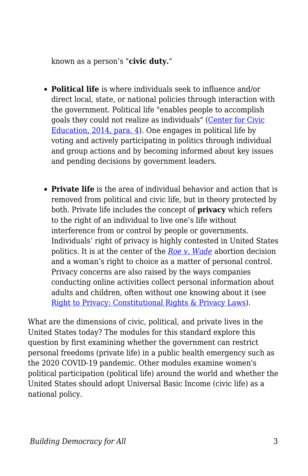known as a person's "**civic duty.**"

- **Political life** is where individuals seek to influence and/or direct local, state, or national policies through interaction with the government. Political life "enables people to accomplish goals they could not realize as individuals" ([Center for Civic](https://www.civiced.org/standards?page=912erica) [Education, 2014, para. 4\)](https://www.civiced.org/standards?page=912erica). One engages in political life by voting and actively participating in politics through individual and group actions and by becoming informed about key issues and pending decisions by government leaders.
- **Private life** is the area of individual behavior and action that is removed from political and civic life, but in theory protected by both. Private life includes the concept of **privacy** which refers to the right of an individual to live one's life without interference from or control by people or governments. Individuals' right of privacy is highly contested in United States politics. It is at the center of the *[Roe v. Wade](https://www.oyez.org/cases/1971/70-18)* abortion decision and a woman's right to choice as a matter of personal control. Privacy concerns are also raised by the ways companies conducting online activities collect personal information about adults and children, often without one knowing about it (see [Right to Privacy: Constitutional Rights & Privacy Laws](https://www.livescience.com/37398-right-to-privacy.html)).

What are the dimensions of civic, political, and private lives in the United States today? The modules for this standard explore this question by first examining whether the government can restrict personal freedoms (private life) in a public health emergency such as the 2020 COVID-19 pandemic. Other modules examine women's political participation (political life) around the world and whether the United States should adopt Universal Basic Income (civic life) as a national policy.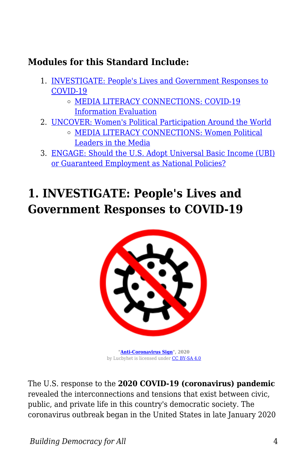#### **Modules for this Standard Include:**

- 1. [INVESTIGATE: People's Lives and Government Responses to](https://edtechbooks.org/democracy/life#p_WIkJw) [COVID-19](https://edtechbooks.org/democracy/life#p_WIkJw)
	- o [MEDIA LITERACY CONNECTIONS: COVID-19](https://edtechbooks.org/democracy/life#h3_qyKv) [Information Evaluation](https://edtechbooks.org/democracy/life#h3_qyKv)
- 2. [UNCOVER: Women's Political Participation Around the World](https://edtechbooks.org/democracy/life#p_bUbyM) [MEDIA LITERACY CONNECTIONS: Women Political](https://edtechbooks.org/democracy/life#h3_cpYP)
	- [Leaders in the Media](https://edtechbooks.org/democracy/life#h3_cpYP)
- 3. [ENGAGE: Should the U.S. Adopt Universal Basic Income \(UBI\)](https://edtechbooks.org/democracy/life#p_DgTJp) [or Guaranteed Employment as National Policies?](https://edtechbooks.org/democracy/life#p_DgTJp)

## **1. INVESTIGATE: People's Lives and Government Responses to COVID-19**



**["Anti-Coronavirus Sign](https://commons.m.wikimedia.org/wiki/File:Anti-coronavirus-sign.svg)", 2020** by Lucbyhet is licensed under [CC BY-SA 4.0](https://creativecommons.org/licenses/by-sa/4.0)

The U.S. response to the **2020 COVID-19 (coronavirus) pandemic** revealed the interconnections and tensions that exist between civic, public, and private life in this country's democratic society. The coronavirus outbreak began in the United States in late January 2020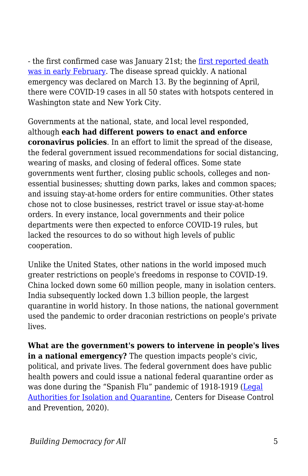- the first confirmed case was January 21st; the [first reported death](https://www.cidrap.umn.edu/news-perspective/2020/04/coroner-first-us-covid-19-death-occurred-early-february) [was in early February](https://www.cidrap.umn.edu/news-perspective/2020/04/coroner-first-us-covid-19-death-occurred-early-february). The disease spread quickly. A national emergency was declared on March 13. By the beginning of April, there were COVID-19 cases in all 50 states with hotspots centered in Washington state and New York City.

Governments at the national, state, and local level responded, although **each had different powers to enact and enforce coronavirus policies**. In an effort to limit the spread of the disease, the federal government issued recommendations for social distancing, wearing of masks, and closing of federal offices. Some state governments went further, closing public schools, colleges and nonessential businesses; shutting down parks, lakes and common spaces; and issuing stay-at-home orders for entire communities. Other states chose not to close businesses, restrict travel or issue stay-at-home orders. In every instance, local governments and their police departments were then expected to enforce COVID-19 rules, but lacked the resources to do so without high levels of public cooperation.

Unlike the United States, other nations in the world imposed much greater restrictions on people's freedoms in response to COVID-19. China locked down some 60 million people, many in isolation centers. India subsequently locked down 1.3 billion people, the largest quarantine in world history. In those nations, the national government used the pandemic to order draconian restrictions on people's private lives.

**What are the government's powers to intervene in people's lives in a national emergency?** The question impacts people's civic, political, and private lives. The federal government does have public health powers and could issue a national federal quarantine order as was done during the "Spanish Flu" pandemic of 1918-1919 ([Legal](https://www.cdc.gov/quarantine/aboutlawsregulationsquarantineisolation.html) [Authorities for Isolation and Quarantine](https://www.cdc.gov/quarantine/aboutlawsregulationsquarantineisolation.html), Centers for Disease Control and Prevention, 2020).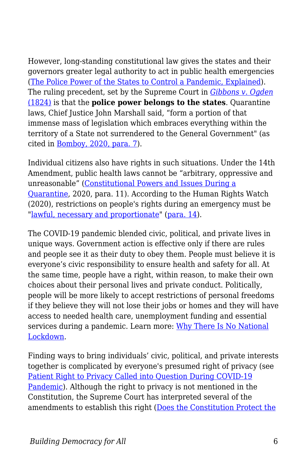However, long-standing constitutional law gives the states and their governors greater legal authority to act in public health emergencies ([The Police Power of the States to Control a Pandemic, Explained](https://thedispatch.com/p/the-police-power-of-the-states-to)). The ruling precedent, set by the Supreme Court in *[Gibbons v. Ogden](https://www.oyez.org/cases/1789-1850/22us1)* [\(1824\)](https://www.oyez.org/cases/1789-1850/22us1) is that the **police power belongs to the states**. Quarantine laws, Chief Justice John Marshall said, "form a portion of that immense mass of legislation which embraces everything within the territory of a State not surrendered to the General Government" (as cited in [Bomboy, 2020, para. 7](https://constitutioncenter.org/interactive-constitution/blog/constitutional-powers-and-issues-during-a-quarantine-situation)).

Individual citizens also have rights in such situations. Under the 14th Amendment, public health laws cannot be "arbitrary, oppressive and unreasonable" ([Constitutional Powers and Issues During a](https://constitutioncenter.org/blog/constitutional-powers-and-issues-during-a-quarantine-situation) [Quarantine,](https://constitutioncenter.org/blog/constitutional-powers-and-issues-during-a-quarantine-situation) 2020, para. 11). According to the Human Rights Watch (2020), restrictions on people's rights during an emergency must be ["lawful, necessary and proportionate"](https://www.hrw.org/news/2020/03/19/human-rights-dimensions-covid-19-response#_Toc35446580) [\(para. 14](https://www.hrw.org/news/2020/03/19/human-rights-dimensions-covid-19-response)).

The COVID-19 pandemic blended civic, political, and private lives in unique ways. Government action is effective only if there are rules and people see it as their duty to obey them. People must believe it is everyone's civic responsibility to ensure health and safety for all. At the same time, people have a right, within reason, to make their own choices about their personal lives and private conduct. Politically, people will be more likely to accept restrictions of personal freedoms if they believe they will not lose their jobs or homes and they will have access to needed health care, unemployment funding and essential services during a pandemic. Learn more: [Why There Is No National](https://www.theatlantic.com/ideas/archive/2020/03/why-theres-no-national-lockdown/609127/) [Lockdown.](https://www.theatlantic.com/ideas/archive/2020/03/why-theres-no-national-lockdown/609127/)

Finding ways to bring individuals' civic, political, and private interests together is complicated by everyone's presumed right of privacy (see [Patient Right to Privacy Called into Question During COVID-19](https://www.jdsupra.com/legalnews/patient-right-to-privacy-called-into-43101/) [Pandemic\)](https://www.jdsupra.com/legalnews/patient-right-to-privacy-called-into-43101/). Although the right to privacy is not mentioned in the Constitution, the Supreme Court has interpreted several of the amendments to establish this right ([Does the Constitution Protect the](http://law2.umkc.edu/faculty/projects/ftrials/conlaw/rightofprivacy.html)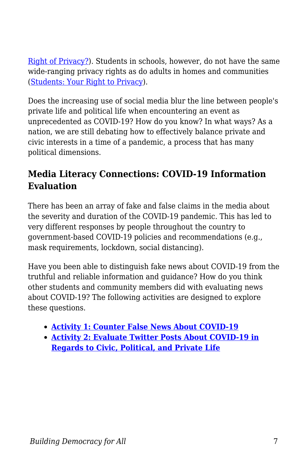[Right of Privacy?\)](http://law2.umkc.edu/faculty/projects/ftrials/conlaw/rightofprivacy.html). Students in schools, however, do not have the same wide-ranging privacy rights as do adults in homes and communities ([Students: Your Right to Privacy\)](https://www.aclu.org/other/students-your-right-privacy).

Does the increasing use of social media blur the line between people's private life and political life when encountering an event as unprecedented as COVID-19? How do you know? In what ways? As a nation, we are still debating how to effectively balance private and civic interests in a time of a pandemic, a process that has many political dimensions.

### **Media Literacy Connections: COVID-19 Information Evaluation**

There has been an array of fake and false claims in the media about the severity and duration of the COVID-19 pandemic. This has led to very different responses by people throughout the country to government-based COVID-19 policies and recommendations (e.g., mask requirements, lockdown, social distancing).

Have you been able to distinguish fake news about COVID-19 from the truthful and reliable information and guidance? How do you think other students and community members did with evaluating news about COVID-19? The following activities are designed to explore these questions.

- **[Activity 1: Counter False News About COVID-19](https://edtechbooks.org/mediaandciviclearning/evaluating_covid_info)**
- **[Activity 2: Evaluate Twitter Posts About COVID-19 in](https://edtechbooks.org/mediaandciviclearning/evaluating_covid_info) [Regards to Civic, Political, and Private Life](https://edtechbooks.org/mediaandciviclearning/evaluating_covid_info)**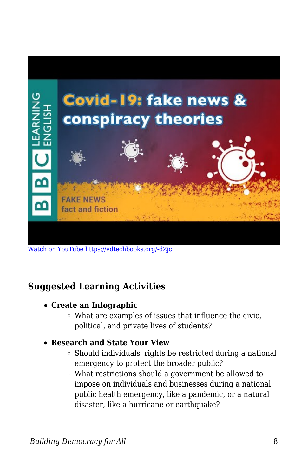

[Watch on YouTube https://edtechbooks.org/-dZjc](https://www.youtube.com/embed/E0PKtf1hfvc?autoplay=1&rel=0&showinfo=0&modestbranding=1)

#### **Suggested Learning Activities**

- **Create an Infographic** 
	- What are examples of issues that influence the civic, political, and private lives of students?
- **Research and State Your View**
	- $\circ$  Should individuals' rights be restricted during a national emergency to protect the broader public?
	- What restrictions should a government be allowed to impose on individuals and businesses during a national public health emergency, like a pandemic, or a natural disaster, like a hurricane or earthquake?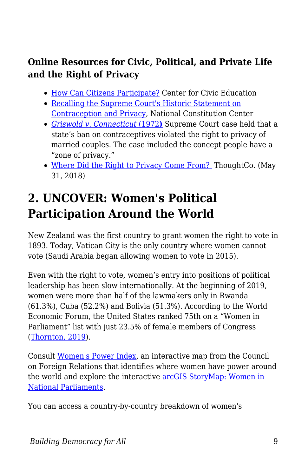### **Online Resources for Civic, Political, and Private Life and the Right of Privacy**

- [How Can Citizens Participate?](http://www.civiced.org/resources/curriculum/lesson-plans/456-how-can-citizens-participate) Center for Civic Education
- [Recalling the Supreme Court's Historic Statement on](https://constitutioncenter.org/blog/contraception-marriage-and-the-right-to-privacy) [Contraception and Privacy,](https://constitutioncenter.org/blog/contraception-marriage-and-the-right-to-privacy) National Constitution Center
- *[Griswold v. Connecticut](https://www.oyez.org/cases/1964/496)* [\(1972](https://www.oyez.org/cases/1964/496)**[\)](https://www.oyez.org/cases/1964/496)** Supreme Court case held that a state's ban on contraceptives violated the right to privacy of married couples. The case included the concept people have a "zone of privacy."
- [Where Did the Right to Privacy Come From?](https://www.thoughtco.com/right-to-privacy-history-721174) ThoughtCo. (May 31, 2018)

## **2. UNCOVER: Women's Political Participation Around the World**

New Zealand was the first country to grant women the right to vote in 1893. Today, Vatican City is the only country where women cannot vote (Saudi Arabia began allowing women to vote in 2015).

Even with the right to vote, women's entry into positions of political leadership has been slow internationally. At the beginning of 2019, women were more than half of the lawmakers only in Rwanda (61.3%), Cuba (52.2%) and Bolivia (51.3%). According to the World Economic Forum, the United States ranked 75th on a "Women in Parliament" list with just 23.5% of female members of Congress ([Thornton, 2019](https://www.weforum.org/agenda/2019/02/chart-of-the-day-these-countries-have-the-most-women-in-parliament/)).

Consult [Women's Power Index](https://www.cfr.org/article/womens-power-index), an interactive map from the Council on Foreign Relations that identifies where women have power around the world and explore the interactive [arcGIS StoryMap: Women in](https://storymaps.arcgis.com/stories/3c80ce80f2c74d9a9b4bfd54f33ae040) [National Parliaments.](https://storymaps.arcgis.com/stories/3c80ce80f2c74d9a9b4bfd54f33ae040)

You can access a country-by-country breakdown of women's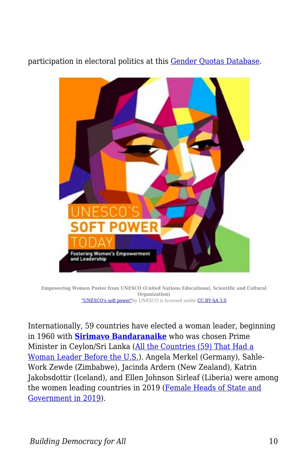participation in electoral politics at this [Gender Quotas Database.](https://www.idea.int/data-tools/data/gender-quotas)



**Empowering Women Poster from UNESCO (United Nations Educational, Scientific and Cultural Organization)** ["UNESCO's soft power"](https://commons.wikimedia.org/wiki/File:UNESCO%27s_soft_power.pdf)by UNESCO is licensed under [CC BY-SA 3.0](https://creativecommons.org/licenses/by-sa/3.0/deed.en)

Internationally, 59 countries have elected a woman leader, beginning in 1960 with **[Sirimavo](http://sirimavobandaranaike.org) [Bandaranaike](http://sirimavobandaranaike.org)** who was chosen Prime Minister in Ceylon/Sri Lanka ([All the Countries \(59\) That Had a](https://www.cnn.com/interactive/2016/06/politics/women-world-leaders/) [Woman Leader Before the U.S.](https://www.cnn.com/interactive/2016/06/politics/women-world-leaders/)). Angela Merkel (Germany), Sahle-Work Zewde (Zimbabwe), Jacinda Ardern (New Zealand), Katrin Jakobsdottir (Iceland), and Ellen Johnson Sirleaf (Liberia) were among the women leading countries in 2019 [\(Female Heads of State and](https://ewn.co.za/2019/03/31/female-heads-of-state-and-government-around-the-world) [Government in 2019\)](https://ewn.co.za/2019/03/31/female-heads-of-state-and-government-around-the-world).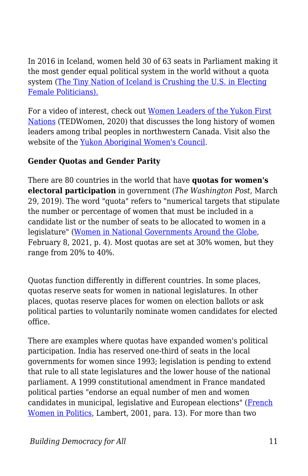In 2016 in Iceland, women held 30 of 63 seats in Parliament making it the most gender equal political system in the world without a quota system [\(The Tiny Nation of Iceland is Crushing the U.S. in Electing](http://fortune.com/2016/10/31/iceland-us-women-in-parliament-congress/) [Female Politicians\).](http://fortune.com/2016/10/31/iceland-us-women-in-parliament-congress/)

For a video of interest, check out [Women Leaders of the Yukon First](https://www.ted.com/talks/kluane_adamek_the_legacy_of_matriarchs_in_the_yukon_first_nations?utm_source=newsletter_daily&utm_campaign=daily&utm_medium=email&utm_content=button__2020-12-08) [Nations](https://www.ted.com/talks/kluane_adamek_the_legacy_of_matriarchs_in_the_yukon_first_nations?utm_source=newsletter_daily&utm_campaign=daily&utm_medium=email&utm_content=button__2020-12-08) (TEDWomen, 2020) that discusses the long history of women leaders among tribal peoples in northwestern Canada. Visit also the website of the [Yukon Aboriginal Women's Council.](https://yawc.ca)

#### **Gender Quotas and Gender Parity**

There are 80 countries in the world that have **quotas for women's electoral participation** in government (*The Washington Post*, March 29, 2019). The word "quota" refers to "numerical targets that stipulate the number or percentage of women that must be included in a candidate list or the number of seats to be allocated to women in a legislature" [\(Women in National Governments Around the Globe](https://fas.org/sgp/crs/misc/R45483.pdf), February 8, 2021, p. 4). Most quotas are set at 30% women, but they range from 20% to 40%.

Quotas function differently in different countries. In some places, quotas reserve seats for women in national legislatures. In other places, quotas reserve places for women on election ballots or ask political parties to voluntarily nominate women candidates for elected office.

There are examples where quotas have expanded women's political participation. India has reserved one-third of seats in the local governments for women since 1993; legislation is pending to extend that rule to all state legislatures and the lower house of the national parliament. A 1999 constitutional amendment in France mandated political parties "endorse an equal number of men and women candidates in municipal, legislative and European elections" [\(French](https://www.brookings.edu/articles/french-women-in-politics-the-long-road-to-parity/) [Women in Politics](https://www.brookings.edu/articles/french-women-in-politics-the-long-road-to-parity/), Lambert, 2001, para. 13). For more than two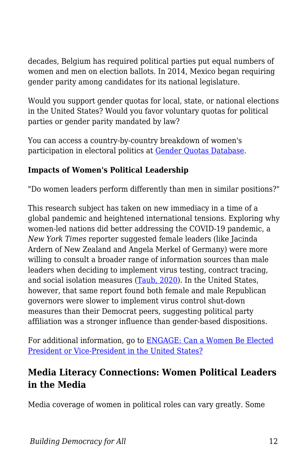decades, Belgium has required political parties put equal numbers of women and men on election ballots. In 2014, Mexico began requiring gender parity among candidates for its national legislature.

Would you support gender quotas for local, state, or national elections in the United States? Would you favor voluntary quotas for political parties or gender parity mandated by law?

You can access a country-by-country breakdown of women's participation in electoral politics at [Gender Quotas Database](https://www.idea.int/data-tools/data/gender-quotas).

#### **Impacts of Women's Political Leadership**

"Do women leaders perform differently than men in similar positions?"

This research subject has taken on new immediacy in a time of a global pandemic and heightened international tensions. Exploring why women-led nations did better addressing the COVID-19 pandemic, a *New York Times* reporter suggested female leaders (like Jacinda Ardern of New Zealand and Angela Merkel of Germany) were more willing to consult a broader range of information sources than male leaders when deciding to implement virus testing, contract tracing, and social isolation measures ([Taub, 2020](https://edtechbooks.org/democracy/https:/www.nytimes.com/2020/05/15/world/coronavirus-women-leaders.html)). In the United States, however, that same report found both female and male Republican governors were slower to implement virus control shut-down measures than their Democrat peers, suggesting political party affiliation was a stronger influence than gender-based dispositions.

For additional information, go to [ENGAGE: Can a Women Be Elected](https://edtechbooks.org/democracy/roles#p_GGfwZ) [President or Vice-President in the United States?](https://edtechbooks.org/democracy/roles#p_GGfwZ)

#### **Media Literacy Connections: Women Political Leaders in the Media**

Media coverage of women in political roles can vary greatly. Some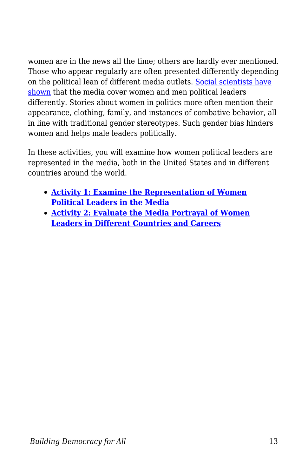women are in the news all the time; others are hardly ever mentioned. Those who appear regularly are often presented differently depending on the political lean of different media outlets. [Social scientists have](https://academic.oup.com/joc/article/70/1/114/5761879) [shown](https://academic.oup.com/joc/article/70/1/114/5761879) that the media cover women and men political leaders differently. Stories about women in politics more often mention their appearance, clothing, family, and instances of combative behavior, all in line with traditional gender stereotypes. Such gender bias hinders women and helps male leaders politically.

In these activities, you will examine how women political leaders are represented in the media, both in the United States and in different countries around the world.

- **[Activity 1: Examine the Representation of Women](https://edtechbooks.org/mediaandciviclearning/gender_and_leadership) [Political Leaders in the Media](https://edtechbooks.org/mediaandciviclearning/gender_and_leadership)**
- **[Activity 2: Evaluate the Media Portrayal of Women](https://edtechbooks.org/mediaandciviclearning/gender_and_leadership) [Leaders in Different Countries and Careers](https://edtechbooks.org/mediaandciviclearning/gender_and_leadership)**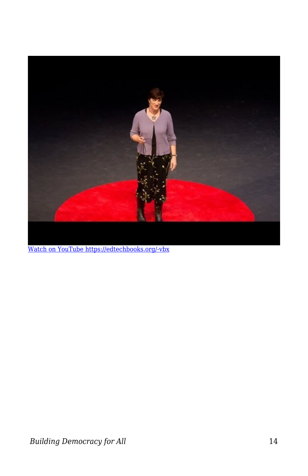

[Watch on YouTube https://edtechbooks.org/-vbx](https://www.youtube.com/embed/IaBJFSAxVgY?autoplay=1&rel=0&showinfo=0&modestbranding=1)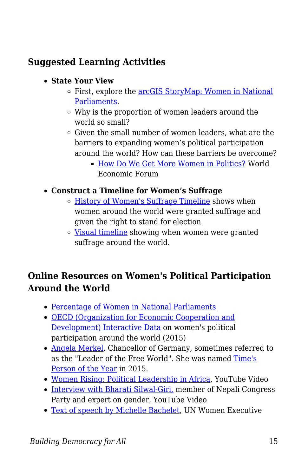### **Suggested Learning Activities**

- **State Your View**
	- First, explore the [arcGIS StoryMap: Women in National](https://storymaps.arcgis.com/stories/3c80ce80f2c74d9a9b4bfd54f33ae040) [Parliaments.](https://storymaps.arcgis.com/stories/3c80ce80f2c74d9a9b4bfd54f33ae040)
	- Why is the proportion of women leaders around the world so small?
	- $\circ$  Given the small number of women leaders, what are the barriers to expanding women's political participation around the world? How can these barriers be overcome?
		- [How Do We Get More Women in Politics?](https://www.weforum.org/agenda/2018/09/closing-the-political-gender-gap) World Economic Forum
- **Construct a Timeline for Women's Suffrage**
	- [History of Women's Suffrage Timeline](http://womensuffrage.org/?page_id=69) shows when women around the world were granted suffrage and given the right to stand for election
	- [Visual timeline](https://www.youtube.com/watch?v=M-qTa1yPfzg) showing when women were granted suffrage around the world.

#### **Online Resources on Women's Political Participation Around the World**

- [Percentage of Women in National Parliaments](https://data.ipu.org/women-ranking?month=6&year=2019)
- [OECD \(Organization for Economic Cooperation and](https://data.oecd.org/inequality/women-in-politics.htm) [Development\) Interactive Data](https://data.oecd.org/inequality/women-in-politics.htm) on women's political participation around the world (2015)
- [Angela Merkel,](https://www.britannica.com/biography/Angela-Merkel) Chancellor of Germany, sometimes referred to as the "Leader of the Free World". She was named [Time's](http://time.com/time-person-of-the-year-2015-angela-merkel/) [Person of the Year](http://time.com/time-person-of-the-year-2015-angela-merkel/) in 2015.
- [Women Rising: Political Leadership in Africa,](https://www.youtube.com/watch?v=DClXif1T9dA) YouTube Video
- [Interview with Bharati Silwal-Giri,](https://www.youtube.com/watch?v=6w0kG7Z3LvI) member of Nepali Congress Party and expert on gender, YouTube Video
- [Text of speech by Michelle Bachelet](http://www.unwomen.org/en/news/stories/2011/10/women-s-political-participation), UN Women Executive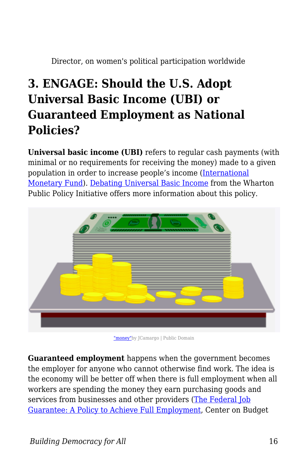Director, on women's political participation worldwide

## **3. ENGAGE: Should the U.S. Adopt Universal Basic Income (UBI) or Guaranteed Employment as National Policies?**

**Universal basic income (UBI)** refers to regular cash payments (with minimal or no requirements for receiving the money) made to a given population in order to increase people's income ([International](https://www.imf.org/external/pubs/ft/fandd/2018/12/what-is-universal-basic-income-basics.htm) [Monetary Fund\)](https://www.imf.org/external/pubs/ft/fandd/2018/12/what-is-universal-basic-income-basics.htm). [Debating Universal Basic Income](https://publicpolicy.wharton.upenn.edu/live/news/1521-debating-universal-basic-income) from the Wharton Public Policy Initiative offers more information about this policy.



["money"](https://pixabay.com/vectors/money-notes-ballots-finance-income-2033697/)by JCamargo | Public Domain

**Guaranteed employment** happens when the government becomes the employer for anyone who cannot otherwise find work. The idea is the economy will be better off when there is full employment when all workers are spending the money they earn purchasing goods and services from businesses and other providers ([The Federal Job](https://www.cbpp.org/research/full-employment/the-federal-job-guarantee-a-policy-to-achieve-permanent-full-employment) [Guarantee: A Policy to Achieve Full Employment](https://www.cbpp.org/research/full-employment/the-federal-job-guarantee-a-policy-to-achieve-permanent-full-employment), Center on Budget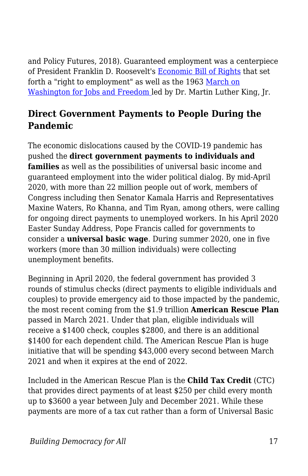and Policy Futures, 2018). Guaranteed employment was a centerpiece of President Franklin D. Roosevelt's [Economic Bill of Rights](https://stuff.mit.edu/afs/athena/course/21/21h.102/www/Primary%20source%20collections/World%20War%20II/FDR,%20Economic%20Bill%20of%20Rights.html) that set forth a "right to employment" as well as the 1963 [March on](https://kinginstitute.stanford.edu/encyclopedia/march-washington-jobs-and-freedom) [Washington for Jobs and Freedom l](https://kinginstitute.stanford.edu/encyclopedia/march-washington-jobs-and-freedom)ed by Dr. Martin Luther King, Jr.

#### **Direct Government Payments to People During the Pandemic**

The economic dislocations caused by the COVID-19 pandemic has pushed the **direct government payments to individuals and families** as well as the possibilities of universal basic income and guaranteed employment into the wider political dialog. By mid-April 2020, with more than 22 million people out of work, members of Congress including then Senator Kamala Harris and Representatives Maxine Waters, Ro Khanna, and Tim Ryan, among others, were calling for ongoing direct payments to unemployed workers. In his April 2020 Easter Sunday Address, Pope Francis called for governments to consider a **universal basic wage**. During summer 2020, one in five workers (more than 30 million individuals) were collecting unemployment benefits.

Beginning in April 2020, the federal government has provided 3 rounds of stimulus checks (direct payments to eligible individuals and couples) to provide emergency aid to those impacted by the pandemic, the most recent coming from the \$1.9 trillion **American Rescue Plan** passed in March 2021. Under that plan, eligible individuals will receive a \$1400 check, couples \$2800, and there is an additional \$1400 for each dependent child. The American Rescue Plan is huge initiative that will be spending \$43,000 every second between March 2021 and when it expires at the end of 2022.

Included in the American Rescue Plan is the **Child Tax Credit** (CTC) that provides direct payments of at least \$250 per child every month up to \$3600 a year between July and December 2021. While these payments are more of a tax cut rather than a form of Universal Basic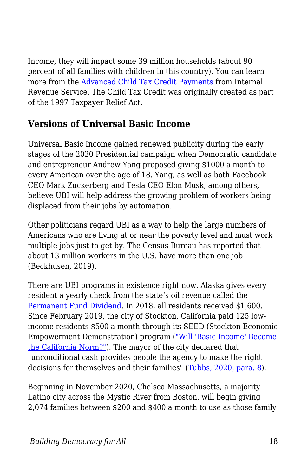Income, they will impact some 39 million households (about 90 percent of all families with children in this country). You can learn more from the [Advanced Child Tax Credit Payments](https://www.irs.gov/credits-deductions/advance-child-tax-credit-payments-in-2021) from Internal Revenue Service. The Child Tax Credit was originally created as part of the 1997 Taxpayer Relief Act.

#### **Versions of Universal Basic Income**

Universal Basic Income gained renewed publicity during the early stages of the 2020 Presidential campaign when Democratic candidate and entrepreneur Andrew Yang proposed giving \$1000 a month to every American over the age of 18. Yang, as well as both Facebook CEO Mark Zuckerberg and Tesla CEO Elon Musk, among others, believe UBI will help address the growing problem of workers being displaced from their jobs by automation.

Other politicians regard UBI as a way to help the large numbers of Americans who are living at or near the poverty level and must work multiple jobs just to get by. The Census Bureau has reported that about 13 million workers in the U.S. have more than one job (Beckhusen, 2019).

There are UBI programs in existence right now. Alaska gives every resident a yearly check from the state's oil revenue called the [Permanent Fund Dividend](https://pfd.alaska.gov). In 2018, all residents received \$1,600. Since February 2019, the city of Stockton, California paid 125 lowincome residents \$500 a month through its SEED (Stockton Economic Empowerment Demonstration) program (["Will 'Basic Income' Become](https://www.sacbee.com/news/local/article226280230.html) [the California Norm?"\)](https://www.sacbee.com/news/local/article226280230.html). The mayor of the city declared that "unconditional cash provides people the agency to make the right decisions for themselves and their families" ([Tubbs, 2020, para. 8](https://www.marketwatch.com/story/americans-need-more-than-a-1200-check-a-guaranteed-basic-income-is-the-stimulus-we-deserve-2020-04-27)).

Beginning in November 2020, Chelsea Massachusetts, a majority Latino city across the Mystic River from Boston, will begin giving 2,074 families between \$200 and \$400 a month to use as those family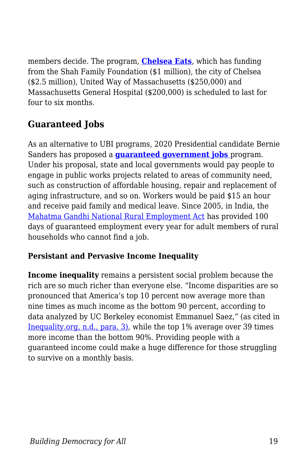members decide. The program, **[Chelsea Eats](https://www.chelseama.gov/CoronavirusUpdates/ChelseaEats)**, which has funding from the Shah Family Foundation (\$1 million), the city of Chelsea (\$2.5 million), United Way of Massachusetts (\$250,000) and Massachusetts General Hospital (\$200,000) is scheduled to last for four to six months.

### **Guaranteed Jobs**

As an alternative to UBI programs, 2020 Presidential candidate Bernie Sanders has proposed a **[guaranteed government jobs](https://berniesanders.com/issues/jobs-for-all/)** program. Under his proposal, state and local governments would pay people to engage in public works projects related to areas of community need, such as construction of affordable housing, repair and replacement of aging infrastructure, and so on. Workers would be paid \$15 an hour and receive paid family and medical leave. Since 2005, in India, the [Mahatma Gandhi National Rural Employment Act](https://www.nrega.nic.in/netnrega/mgnrega_new/Nrega_home.aspx) has provided 100 days of guaranteed employment every year for adult members of rural households who cannot find a job.

#### **Persistant and Pervasive Income Inequality**

**Income inequality** remains a persistent social problem because the rich are so much richer than everyone else. "Income disparities are so pronounced that America's top 10 percent now average more than nine times as much income as the bottom 90 percent, according to data analyzed by UC Berkeley economist Emmanuel Saez," (as cited in [Inequality.org, n.d., para. 3\),](https://inequality.org/facts/income-inequality/) while the top 1% average over 39 times more income than the bottom 90%. Providing people with a guaranteed income could make a huge difference for those struggling to survive on a monthly basis.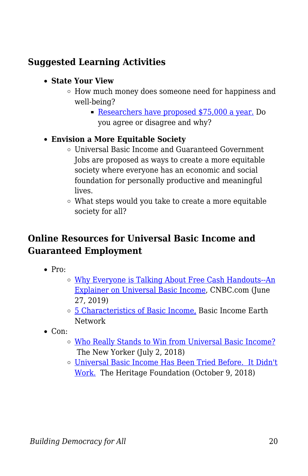### **Suggested Learning Activities**

- **State Your View**
	- How much money does someone need for happiness and well-being?
		- [Researchers have proposed \\$75,000 a year.](https://www.sloww.co/how-much-money-enough/) Do you agree or disagree and why?

#### **Envision a More Equitable Society**

- Universal Basic Income and Guaranteed Government Jobs are proposed as ways to create a more equitable society where everyone has an economic and social foundation for personally productive and meaningful lives.
- What steps would you take to create a more equitable society for all?

#### **Online Resources for Universal Basic Income and Guaranteed Employment**

- $\bullet$  Pro:
	- [Why Everyone is Talking About Free Cash Handouts--An](https://www.cnbc.com/2019/06/27/free-cash-handouts-what-is-universal-basic-income-or-ubi.html) [Explainer on Universal Basic Income,](https://www.cnbc.com/2019/06/27/free-cash-handouts-what-is-universal-basic-income-or-ubi.html) CNBC.com (June 27, 2019)
	- [5 Characteristics of Basic Income,](https://basicincome.org/about-basic-income/) Basic Income Earth Network
- $\bullet$  Con:
	- o [Who Really Stands to Win from Universal Basic Income?](https://www.newyorker.com/magazine/2018/07/09/who-really-stands-to-win-from-universal-basic-income) The New Yorker (July 2, 2018)
	- [Universal Basic Income Has Been Tried Before. It Didn't](https://www.heritage.org/poverty-and-inequality/commentary/universal-basic-income-has-been-tried-it-didnt-work) [Work.](https://www.heritage.org/poverty-and-inequality/commentary/universal-basic-income-has-been-tried-it-didnt-work) The Heritage Foundation (October 9, 2018)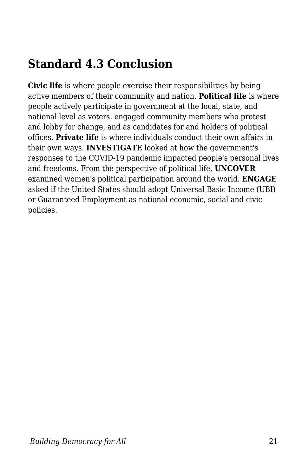## **Standard 4.3 Conclusion**

**Civic life** is where people exercise their responsibilities by being active members of their community and nation. **Political life** is where people actively participate in government at the local, state, and national level as voters, engaged community members who protest and lobby for change, and as candidates for and holders of political offices. **Private life** is where individuals conduct their own affairs in their own ways. **INVESTIGATE** looked at how the government's responses to the COVID-19 pandemic impacted people's personal lives and freedoms. From the perspective of political life, **UNCOVER** examined women's political participation around the world. **ENGAGE** asked if the United States should adopt Universal Basic Income (UBI) or Guaranteed Employment as national economic, social and civic policies.